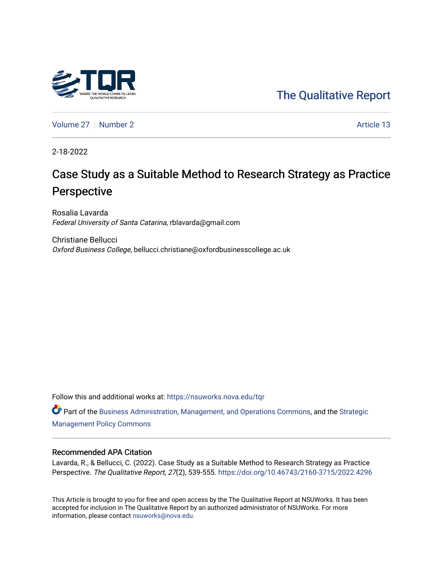

[Volume 27](https://nsuworks.nova.edu/tqr/vol27) | [Number 2](https://nsuworks.nova.edu/tqr/vol27/iss2) Article 13

2-18-2022

# Case Study as a Suitable Method to Research Strategy as Practice Perspective

Rosalia Lavarda Federal University of Santa Catarina, rblavarda@gmail.com

Christiane Bellucci Oxford Business College, bellucci.christiane@oxfordbusinesscollege.ac.uk

Follow this and additional works at: [https://nsuworks.nova.edu/tqr](https://nsuworks.nova.edu/tqr?utm_source=nsuworks.nova.edu%2Ftqr%2Fvol27%2Fiss2%2F13&utm_medium=PDF&utm_campaign=PDFCoverPages) 

Part of the [Business Administration, Management, and Operations Commons](http://network.bepress.com/hgg/discipline/623?utm_source=nsuworks.nova.edu%2Ftqr%2Fvol27%2Fiss2%2F13&utm_medium=PDF&utm_campaign=PDFCoverPages), and the [Strategic](http://network.bepress.com/hgg/discipline/642?utm_source=nsuworks.nova.edu%2Ftqr%2Fvol27%2Fiss2%2F13&utm_medium=PDF&utm_campaign=PDFCoverPages) [Management Policy Commons](http://network.bepress.com/hgg/discipline/642?utm_source=nsuworks.nova.edu%2Ftqr%2Fvol27%2Fiss2%2F13&utm_medium=PDF&utm_campaign=PDFCoverPages) 

#### Recommended APA Citation

Lavarda, R., & Bellucci, C. (2022). Case Study as a Suitable Method to Research Strategy as Practice Perspective. The Qualitative Report, 27(2), 539-555. <https://doi.org/10.46743/2160-3715/2022.4296>

This Article is brought to you for free and open access by the The Qualitative Report at NSUWorks. It has been accepted for inclusion in The Qualitative Report by an authorized administrator of NSUWorks. For more information, please contact [nsuworks@nova.edu.](mailto:nsuworks@nova.edu)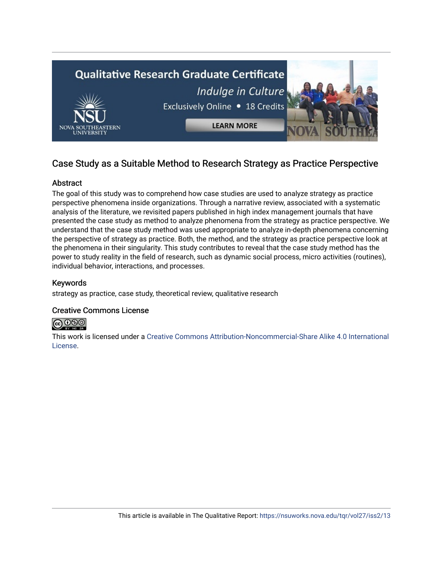

## Case Study as a Suitable Method to Research Strategy as Practice Perspective

## Abstract

The goal of this study was to comprehend how case studies are used to analyze strategy as practice perspective phenomena inside organizations. Through a narrative review, associated with a systematic analysis of the literature, we revisited papers published in high index management journals that have presented the case study as method to analyze phenomena from the strategy as practice perspective. We understand that the case study method was used appropriate to analyze in-depth phenomena concerning the perspective of strategy as practice. Both, the method, and the strategy as practice perspective look at the phenomena in their singularity. This study contributes to reveal that the case study method has the power to study reality in the field of research, such as dynamic social process, micro activities (routines), individual behavior, interactions, and processes.

## Keywords

strategy as practice, case study, theoretical review, qualitative research

## Creative Commons License



This work is licensed under a [Creative Commons Attribution-Noncommercial-Share Alike 4.0 International](https://creativecommons.org/licenses/by-nc-sa/4.0/)  [License](https://creativecommons.org/licenses/by-nc-sa/4.0/).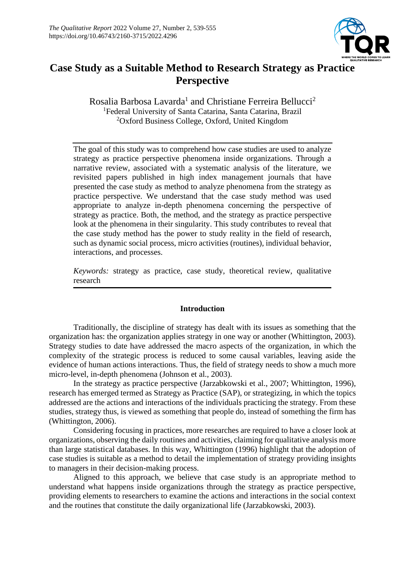

## **Case Study as a Suitable Method to Research Strategy as Practice Perspective**

Rosalia Barbosa Lavarda<sup>1</sup> and Christiane Ferreira Bellucci<sup>2</sup> <sup>1</sup>Federal University of Santa Catarina, Santa Catarina, Brazil <sup>2</sup>Oxford Business College, Oxford, United Kingdom

The goal of this study was to comprehend how case studies are used to analyze strategy as practice perspective phenomena inside organizations. Through a narrative review, associated with a systematic analysis of the literature, we revisited papers published in high index management journals that have presented the case study as method to analyze phenomena from the strategy as practice perspective. We understand that the case study method was used appropriate to analyze in-depth phenomena concerning the perspective of strategy as practice. Both, the method, and the strategy as practice perspective look at the phenomena in their singularity. This study contributes to reveal that the case study method has the power to study reality in the field of research, such as dynamic social process, micro activities (routines), individual behavior, interactions, and processes.

*Keywords:* strategy as practice, case study, theoretical review, qualitative research

## **Introduction**

Traditionally, the discipline of strategy has dealt with its issues as something that the organization has: the organization applies strategy in one way or another (Whittington, 2003). Strategy studies to date have addressed the macro aspects of the organization, in which the complexity of the strategic process is reduced to some causal variables, leaving aside the evidence of human actions interactions. Thus, the field of strategy needs to show a much more micro-level, in-depth phenomena (Johnson et al., 2003).

In the strategy as practice perspective (Jarzabkowski et al., 2007; Whittington, 1996), research has emerged termed as Strategy as Practice (SAP), or strategizing, in which the topics addressed are the actions and interactions of the individuals practicing the strategy. From these studies, strategy thus, is viewed as something that people do, instead of something the firm has (Whittington, 2006).

Considering focusing in practices, more researches are required to have a closer look at organizations, observing the daily routines and activities, claiming for qualitative analysis more than large statistical databases. In this way, Whittington (1996) highlight that the adoption of case studies is suitable as a method to detail the implementation of strategy providing insights to managers in their decision-making process.

Aligned to this approach, we believe that case study is an appropriate method to understand what happens inside organizations through the strategy as practice perspective, providing elements to researchers to examine the actions and interactions in the social context and the routines that constitute the daily organizational life (Jarzabkowski, 2003).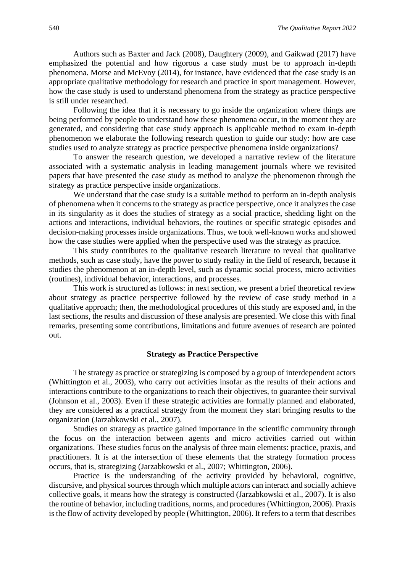Authors such as Baxter and Jack (2008), Daughtery (2009), and Gaikwad (2017) have emphasized the potential and how rigorous a case study must be to approach in-depth phenomena. Morse and McEvoy (2014), for instance, have evidenced that the case study is an appropriate qualitative methodology for research and practice in sport management. However, how the case study is used to understand phenomena from the strategy as practice perspective is still under researched.

Following the idea that it is necessary to go inside the organization where things are being performed by people to understand how these phenomena occur, in the moment they are generated, and considering that case study approach is applicable method to exam in-depth phenomenon we elaborate the following research question to guide our study: how are case studies used to analyze strategy as practice perspective phenomena inside organizations?

To answer the research question, we developed a narrative review of the literature associated with a systematic analysis in leading management journals where we revisited papers that have presented the case study as method to analyze the phenomenon through the strategy as practice perspective inside organizations.

We understand that the case study is a suitable method to perform an in-depth analysis of phenomena when it concerns to the strategy as practice perspective, once it analyzes the case in its singularity as it does the studies of strategy as a social practice, shedding light on the actions and interactions, individual behaviors, the routines or specific strategic episodes and decision-making processes inside organizations. Thus, we took well-known works and showed how the case studies were applied when the perspective used was the strategy as practice.

This study contributes to the qualitative research literature to reveal that qualitative methods, such as case study, have the power to study reality in the field of research, because it studies the phenomenon at an in-depth level, such as dynamic social process, micro activities (routines), individual behavior, interactions, and processes.

This work is structured as follows: in next section, we present a brief theoretical review about strategy as practice perspective followed by the review of case study method in a qualitative approach; then, the methodological procedures of this study are exposed and, in the last sections, the results and discussion of these analysis are presented. We close this with final remarks, presenting some contributions, limitations and future avenues of research are pointed out.

#### **Strategy as Practice Perspective**

The strategy as practice or strategizing is composed by a group of interdependent actors (Whittington et al., 2003), who carry out activities insofar as the results of their actions and interactions contribute to the organizations to reach their objectives, to guarantee their survival (Johnson et al., 2003). Even if these strategic activities are formally planned and elaborated, they are considered as a practical strategy from the moment they start bringing results to the organization (Jarzabkowski et al., 2007).

Studies on strategy as practice gained importance in the scientific community through the focus on the interaction between agents and micro activities carried out within organizations. These studies focus on the analysis of three main elements: practice, praxis, and practitioners. It is at the intersection of these elements that the strategy formation process occurs, that is, strategizing (Jarzabkowski et al., 2007; Whittington, 2006).

Practice is the understanding of the activity provided by behavioral, cognitive, discursive, and physical sources through which multiple actors can interact and socially achieve collective goals, it means how the strategy is constructed (Jarzabkowski et al., 2007). It is also the routine of behavior, including traditions, norms, and procedures (Whittington, 2006). Praxis is the flow of activity developed by people (Whittington, 2006). It refers to a term that describes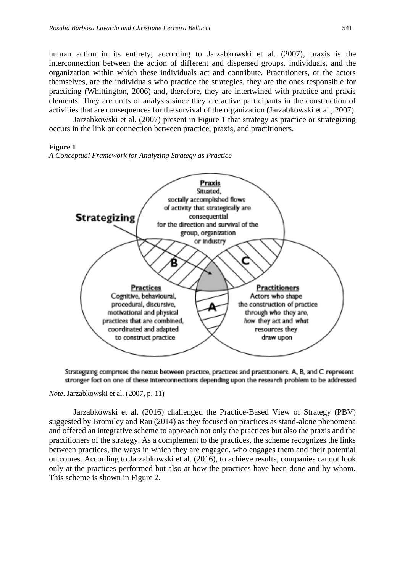human action in its entirety; according to Jarzabkowski et al. (2007), praxis is the interconnection between the action of different and dispersed groups, individuals, and the organization within which these individuals act and contribute. Practitioners, or the actors themselves, are the individuals who practice the strategies, they are the ones responsible for practicing (Whittington, 2006) and, therefore, they are intertwined with practice and praxis elements. They are units of analysis since they are active participants in the construction of activities that are consequences for the survival of the organization (Jarzabkowski et al., 2007).

Jarzabkowski et al. (2007) present in Figure 1 that strategy as practice or strategizing occurs in the link or connection between practice, praxis, and practitioners.

#### **Figure 1**

*A Conceptual Framework for Analyzing Strategy as Practice*



Strategizing comprises the nexus between practice, practices and practitioners. A, B, and C represent stronger foci on one of these interconnections depending upon the research problem to be addressed

*Note*. Jarzabkowski et al. (2007, p. 11)

Jarzabkowski et al. (2016) challenged the Practice-Based View of Strategy (PBV) suggested by Bromiley and Rau (2014) as they focused on practices as stand-alone phenomena and offered an integrative scheme to approach not only the practices but also the praxis and the practitioners of the strategy. As a complement to the practices, the scheme recognizes the links between practices, the ways in which they are engaged, who engages them and their potential outcomes. According to Jarzabkowski et al. (2016), to achieve results, companies cannot look only at the practices performed but also at how the practices have been done and by whom. This scheme is shown in Figure 2.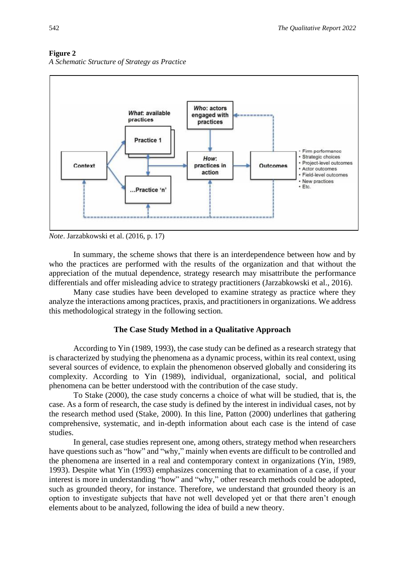

## **Figure 2**





In summary, the scheme shows that there is an interdependence between how and by who the practices are performed with the results of the organization and that without the appreciation of the mutual dependence, strategy research may misattribute the performance differentials and offer misleading advice to strategy practitioners (Jarzabkowski et al., 2016).

Many case studies have been developed to examine strategy as practice where they analyze the interactions among practices, praxis, and practitioners in organizations. We address this methodological strategy in the following section.

#### **The Case Study Method in a Qualitative Approach**

According to Yin (1989, 1993), the case study can be defined as a research strategy that is characterized by studying the phenomena as a dynamic process, within its real context, using several sources of evidence, to explain the phenomenon observed globally and considering its complexity. According to Yin (1989), individual, organizational, social, and political phenomena can be better understood with the contribution of the case study.

To Stake (2000), the case study concerns a choice of what will be studied, that is, the case. As a form of research, the case study is defined by the interest in individual cases, not by the research method used (Stake, 2000). In this line, Patton (2000) underlines that gathering comprehensive, systematic, and in-depth information about each case is the intend of case studies.

In general, case studies represent one, among others, strategy method when researchers have questions such as "how" and "why," mainly when events are difficult to be controlled and the phenomena are inserted in a real and contemporary context in organizations (Yin, 1989, 1993). Despite what Yin (1993) emphasizes concerning that to examination of a case, if your interest is more in understanding "how" and "why," other research methods could be adopted, such as grounded theory, for instance. Therefore, we understand that grounded theory is an option to investigate subjects that have not well developed yet or that there aren't enough elements about to be analyzed, following the idea of build a new theory.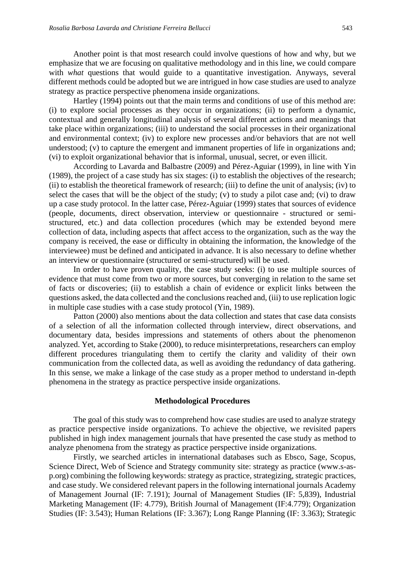Another point is that most research could involve questions of how and why, but we emphasize that we are focusing on qualitative methodology and in this line, we could compare with *what* questions that would guide to a quantitative investigation. Anyways, several different methods could be adopted but we are intrigued in how case studies are used to analyze strategy as practice perspective phenomena inside organizations.

Hartley (1994) points out that the main terms and conditions of use of this method are: (i) to explore social processes as they occur in organizations; (ii) to perform a dynamic, contextual and generally longitudinal analysis of several different actions and meanings that take place within organizations; (iii) to understand the social processes in their organizational and environmental context; (iv) to explore new processes and/or behaviors that are not well understood; (v) to capture the emergent and immanent properties of life in organizations and; (vi) to exploit organizational behavior that is informal, unusual, secret, or even illicit.

According to Lavarda and Balbastre (2009) and Pérez-Aguiar (1999), in line with Yin (1989), the project of a case study has six stages: (i) to establish the objectives of the research; (ii) to establish the theoretical framework of research; (iii) to define the unit of analysis; (iv) to select the cases that will be the object of the study; (v) to study a pilot case and; (vi) to draw up a case study protocol. In the latter case, Pérez-Aguiar (1999) states that sources of evidence (people, documents, direct observation, interview or questionnaire - structured or semistructured, etc.) and data collection procedures (which may be extended beyond mere collection of data, including aspects that affect access to the organization, such as the way the company is received, the ease or difficulty in obtaining the information, the knowledge of the interviewee) must be defined and anticipated in advance. It is also necessary to define whether an interview or questionnaire (structured or semi-structured) will be used.

In order to have proven quality, the case study seeks: (i) to use multiple sources of evidence that must come from two or more sources, but converging in relation to the same set of facts or discoveries; (ii) to establish a chain of evidence or explicit links between the questions asked, the data collected and the conclusions reached and, (iii) to use replication logic in multiple case studies with a case study protocol (Yin, 1989).

Patton (2000) also mentions about the data collection and states that case data consists of a selection of all the information collected through interview, direct observations, and documentary data, besides impressions and statements of others about the phenomenon analyzed. Yet, according to Stake (2000), to reduce misinterpretations, researchers can employ different procedures triangulating them to certify the clarity and validity of their own communication from the collected data, as well as avoiding the redundancy of data gathering. In this sense, we make a linkage of the case study as a proper method to understand in-depth phenomena in the strategy as practice perspective inside organizations.

#### **Methodological Procedures**

The goal of this study was to comprehend how case studies are used to analyze strategy as practice perspective inside organizations. To achieve the objective, we revisited papers published in high index management journals that have presented the case study as method to analyze phenomena from the strategy as practice perspective inside organizations.

Firstly, we searched articles in international databases such as Ebsco, Sage, Scopus, Science Direct, Web of Science and Strategy community site: strategy as practice (www.s-asp.org) combining the following keywords: strategy as practice, strategizing, strategic practices, and case study. We considered relevant papers in the following international journals Academy of Management Journal (IF: 7.191); Journal of Management Studies (IF: 5,839), Industrial Marketing Management (IF: 4.779), British Journal of Management (IF:4.779); Organization Studies (IF: 3.543); Human Relations (IF: 3.367); Long Range Planning (IF: 3.363); Strategic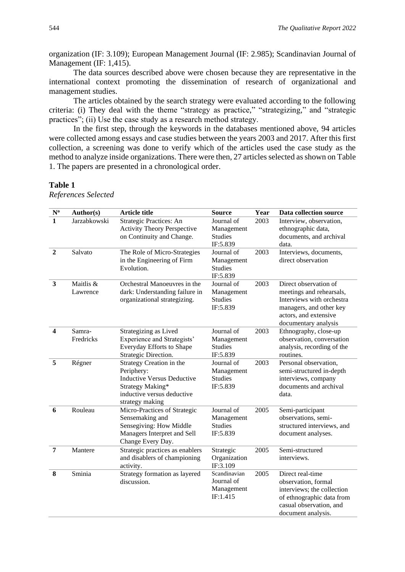organization (IF: 3.109); European Management Journal (IF: 2.985); Scandinavian Journal of Management (IF: 1,415).

The data sources described above were chosen because they are representative in the international context promoting the dissemination of research of organizational and management studies.

The articles obtained by the search strategy were evaluated according to the following criteria: (i) They deal with the theme "strategy as practice," "strategizing," and "strategic practices"; (ii) Use the case study as a research method strategy.

In the first step, through the keywords in the databases mentioned above, 94 articles were collected among essays and case studies between the years 2003 and 2017. After this first collection, a screening was done to verify which of the articles used the case study as the method to analyze inside organizations. There were then, 27 articles selected as shown on Table 1. The papers are presented in a chronological order.

#### **Table 1**

*References Selected* 

| $\mathbf{N}^{\text{o}}$ | Author(s)             | <b>Article title</b>                                                                                                                             | <b>Source</b>                                          | Year | Data collection source                                                                                                                                     |
|-------------------------|-----------------------|--------------------------------------------------------------------------------------------------------------------------------------------------|--------------------------------------------------------|------|------------------------------------------------------------------------------------------------------------------------------------------------------------|
| $\mathbf{1}$            | Jarzabkowski          | Strategic Practices: An<br><b>Activity Theory Perspective</b><br>on Continuity and Change.                                                       | Journal of<br>Management<br><b>Studies</b><br>IF:5.839 | 2003 | Interview, observation,<br>ethnographic data,<br>documents, and archival<br>data.                                                                          |
| $\overline{2}$          | Salvato               | The Role of Micro-Strategies<br>in the Engineering of Firm<br>Evolution.                                                                         | Journal of<br>Management<br><b>Studies</b><br>IF:5.839 | 2003 | Interviews, documents,<br>direct observation                                                                                                               |
| $\mathbf{3}$            | Maitlis &<br>Lawrence | Orchestral Manoeuvres in the<br>dark: Understanding failure in<br>organizational strategizing.                                                   | Journal of<br>Management<br><b>Studies</b><br>IF:5.839 | 2003 | Direct observation of<br>meetings and rehearsals,<br>Interviews with orchestra<br>managers, and other key<br>actors, and extensive<br>documentary analysis |
| $\overline{\mathbf{4}}$ | Samra-<br>Fredricks   | Strategizing as Lived<br>Experience and Strategists'<br>Everyday Efforts to Shape<br>Strategic Direction.                                        | Journal of<br>Management<br><b>Studies</b><br>IF:5.839 | 2003 | Ethnography, close-up<br>observation, conversation<br>analysis, recording of the<br>routines.                                                              |
| 5                       | Régner                | Strategy Creation in the<br>Periphery:<br><b>Inductive Versus Deductive</b><br>Strategy Making*<br>inductive versus deductive<br>strategy making | Journal of<br>Management<br><b>Studies</b><br>IF:5.839 | 2003 | Personal observation,<br>semi-structured in-depth<br>interviews, company<br>documents and archival<br>data.                                                |
| 6                       | Rouleau               | Micro-Practices of Strategic<br>Sensemaking and<br>Sensegiving: How Middle<br>Managers Interpret and Sell<br>Change Every Day.                   | Journal of<br>Management<br><b>Studies</b><br>IF:5.839 | 2005 | Semi-participant<br>observations, semi-<br>structured interviews, and<br>document analyses.                                                                |
| $\overline{7}$          | Mantere               | Strategic practices as enablers<br>and disablers of championing<br>activity.                                                                     | Strategic<br>Organization<br>IF:3.109                  | 2005 | Semi-structured<br>interviews.                                                                                                                             |
| 8                       | Sminia                | Strategy formation as layered<br>discussion.                                                                                                     | Scandinavian<br>Journal of<br>Management<br>IF:1.415   | 2005 | Direct real-time<br>observation, formal<br>interviews; the collection<br>of ethnographic data from<br>casual observation, and<br>document analysis.        |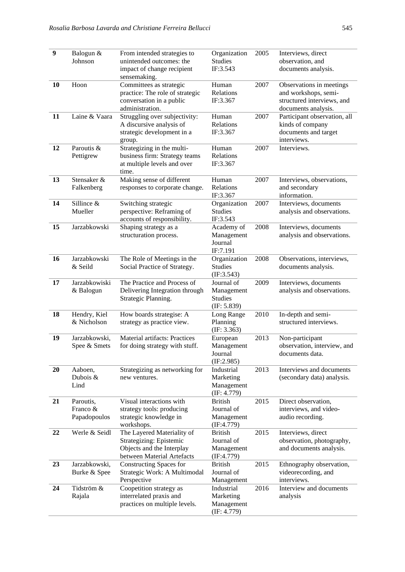| $\boldsymbol{9}$ | Balogun &<br>Johnson                  | From intended strategies to<br>unintended outcomes: the<br>impact of change recipient<br>sensemaking.            | Organization<br><b>Studies</b><br>IF:3.543               | 2005 | Interviews, direct<br>observation, and<br>documents analysis.                                         |
|------------------|---------------------------------------|------------------------------------------------------------------------------------------------------------------|----------------------------------------------------------|------|-------------------------------------------------------------------------------------------------------|
| 10               | Hoon                                  | Committees as strategic<br>practice: The role of strategic<br>conversation in a public<br>administration.        | Human<br>Relations<br>IF:3.367                           | 2007 | Observations in meetings<br>and workshops, semi-<br>structured interviews, and<br>documents analysis. |
| 11               | Laine & Vaara                         | Struggling over subjectivity:<br>A discursive analysis of<br>strategic development in a<br>group.                | Human<br>Relations<br>IF:3.367                           | 2007 | Participant observation, all<br>kinds of company<br>documents and target<br>interviews.               |
| 12               | Paroutis &<br>Pettigrew               | Strategizing in the multi-<br>business firm: Strategy teams<br>at multiple levels and over<br>time.              | Human<br>Relations<br>IF:3.367                           | 2007 | Interviews.                                                                                           |
| 13               | Stensaker &<br>Falkenberg             | Making sense of different<br>responses to corporate change.                                                      | Human<br>Relations<br>IF:3.367                           | 2007 | Interviews, observations,<br>and secondary<br>information.                                            |
| 14               | Sillince &<br>Mueller                 | Switching strategic<br>perspective: Reframing of<br>accounts of responsibility.                                  | Organization<br><b>Studies</b><br>IF:3.543               | 2007 | Interviews, documents<br>analysis and observations.                                                   |
| 15               | Jarzabkowski                          | Shaping strategy as a<br>structuration process.                                                                  | Academy of<br>Management<br>Journal<br>IF:7.191          | 2008 | Interviews, documents<br>analysis and observations.                                                   |
| 16               | Jarzabkowski<br>& Seild               | The Role of Meetings in the<br>Social Practice of Strategy.                                                      | Organization<br><b>Studies</b><br>(E:3.543)              | 2008 | Observations, interviews,<br>documents analysis.                                                      |
| 17               | Jarzabkowiski<br>& Balogun            | The Practice and Process of<br>Delivering Integration through<br>Strategic Planning.                             | Journal of<br>Management<br><b>Studies</b><br>(E: 5.839) | 2009 | Interviews, documents<br>analysis and observations.                                                   |
| 18               | Hendry, Kiel<br>& Nicholson           | How boards strategise: A<br>strategy as practice view.                                                           | Long Range<br>Planning<br>(IF: 3.363)                    | 2010 | In-depth and semi-<br>structured interviews.                                                          |
| 19               | Jarzabkowski,<br>Spee & Smets         | Material artifacts: Practices<br>for doing strategy with stuff.                                                  | European<br>Management<br>Journal<br>(E:2.985)           | 2013 | Non-participant<br>observation, interview, and<br>documents data.                                     |
| 20               | Aaboen,<br>Dubois &<br>Lind           | Strategizing as networking for<br>new ventures.                                                                  | Industrial<br>Marketing<br>Management<br>(E: 4.779)      | 2013 | Interviews and documents<br>(secondary data) analysis.                                                |
| 21               | Paroutis,<br>Franco &<br>Papadopoulos | Visual interactions with<br>strategy tools: producing<br>strategic knowledge in<br>workshops.                    | <b>British</b><br>Journal of<br>Management<br>(E:4.779)  | 2015 | Direct observation,<br>interviews, and video-<br>audio recording.                                     |
| 22               | Werle & Seidl                         | The Layered Materiality of<br>Strategizing: Epistemic<br>Objects and the Interplay<br>between Material Artefacts | <b>British</b><br>Journal of<br>Management<br>(IF:4.779) | 2015 | Interviews, direct<br>observation, photography,<br>and documents analysis.                            |
| 23               | Jarzabkowski,<br>Burke & Spee         | Constructing Spaces for<br>Strategic Work: A Multimodal<br>Perspective                                           | <b>British</b><br>Journal of<br>Management               | 2015 | Ethnography observation,<br>videorecording, and<br>interviews.                                        |
| 24               | Tidström &<br>Rajala                  | Coopetition strategy as<br>interrelated praxis and<br>practices on multiple levels.                              | Industrial<br>Marketing<br>Management<br>(E: 4.779)      | 2016 | Interview and documents<br>analysis                                                                   |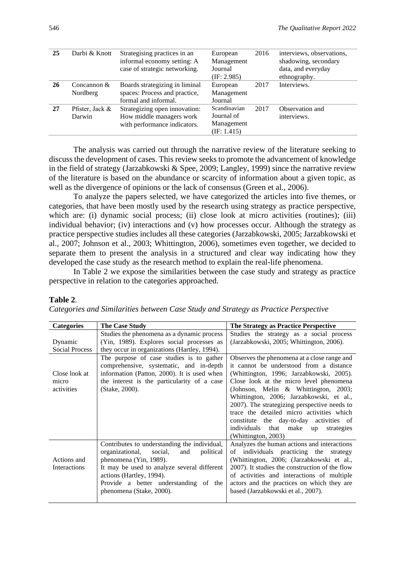| 25 | Darbi & Knott   | Strategising practices in an<br>informal economy setting: A<br>case of strategic networking. | European<br>Management<br>Journal<br>(E: 2.985) | 2016 | interviews, observations,<br>shadowing, secondary<br>data, and everyday<br>ethnography. |
|----|-----------------|----------------------------------------------------------------------------------------------|-------------------------------------------------|------|-----------------------------------------------------------------------------------------|
| 26 | Concannon $&$   | Boards strategizing in liminal                                                               | European                                        | 2017 | Interviews.                                                                             |
|    | Nordberg        | spaces: Process and practice,                                                                | Management                                      |      |                                                                                         |
|    |                 | formal and informal.                                                                         | Journal                                         |      |                                                                                         |
| 27 | Pfister, Jack & | Strategizing open innovation:                                                                | Scandinavian                                    | 2017 | Observation and                                                                         |
|    | Darwin          | How middle managers work                                                                     | Journal of                                      |      | interviews.                                                                             |
|    |                 | with performance indicators.                                                                 | Management                                      |      |                                                                                         |
|    |                 |                                                                                              | (E: 1.415)                                      |      |                                                                                         |

The analysis was carried out through the narrative review of the literature seeking to discuss the development of cases. This review seeks to promote the advancement of knowledge in the field of strategy (Jarzabkowski & Spee, 2009; Langley, 1999) since the narrative review of the literature is based on the abundance or scarcity of information about a given topic, as well as the divergence of opinions or the lack of consensus (Green et al., 2006).

To analyze the papers selected, we have categorized the articles into five themes, or categories, that have been mostly used by the research using strategy as practice perspective, which are: (i) dynamic social process; (ii) close look at micro activities (routines); (iii) individual behavior; (iv) interactions and (v) how processes occur. Although the strategy as practice perspective studies includes all these categories (Jarzabkowski, 2005; Jarzabkowski et al., 2007; Johnson et al., 2003; Whittington, 2006), sometimes even together, we decided to separate them to present the analysis in a structured and clear way indicating how they developed the case study as the research method to explain the real-life phenomena.

In Table 2 we expose the similarities between the case study and strategy as practice perspective in relation to the categories approached.

#### **Table 2**.

*Categories and Similarities between Case Study and Strategy as Practice Perspective*

| <b>Categories</b>                    | <b>The Case Study</b>                                                                                                                                                                                                                                                    | The Strategy as Practice Perspective                                                                                                                                                                                                                                                                                                                                                                                                                                             |
|--------------------------------------|--------------------------------------------------------------------------------------------------------------------------------------------------------------------------------------------------------------------------------------------------------------------------|----------------------------------------------------------------------------------------------------------------------------------------------------------------------------------------------------------------------------------------------------------------------------------------------------------------------------------------------------------------------------------------------------------------------------------------------------------------------------------|
| Dynamic<br><b>Social Process</b>     | Studies the phenomena as a dynamic process<br>(Yin, 1989). Explores social processes as<br>they occur in organizations (Hartley, 1994).                                                                                                                                  | Studies the strategy as a social process<br>(Jarzabkowski, 2005; Whittington, 2006).                                                                                                                                                                                                                                                                                                                                                                                             |
| Close look at<br>micro<br>activities | The purpose of case studies is to gather<br>comprehensive, systematic, and in-depth<br>information (Patton, 2000). It is used when<br>the interest is the particularity of a case<br>(Stake, 2000).                                                                      | Observes the phenomena at a close range and<br>it cannot be understood from a distance<br>(Whittington, 1996; Jarzabkowski, 2005).<br>Close look at the micro level phenomena<br>(Johnson, Melin & Whittington, 2003;<br>Whittington, 2006; Jarzabkowski, et al.,<br>2007). The strategizing perspective needs to<br>trace the detailed micro activities which<br>constitute the day-to-day activities of<br>individuals<br>that make<br>strategies<br>up<br>(Whittington, 2003) |
| Actions and<br>Interactions          | Contributes to understanding the individual,<br>social,<br>organizational,<br>political<br>and<br>phenomena (Yin, 1989).<br>It may be used to analyze several different<br>actions (Hartley, 1994).<br>Provide a better understanding of the<br>phenomena (Stake, 2000). | Analyzes the human actions and interactions<br>of individuals practicing the<br>strategy<br>(Whittington, 2006; (Jarzabkowski et al.,<br>2007). It studies the construction of the flow<br>of activities and interactions of multiple<br>actors and the practices on which they are<br>based (Jarzabkowski et al., 2007).                                                                                                                                                        |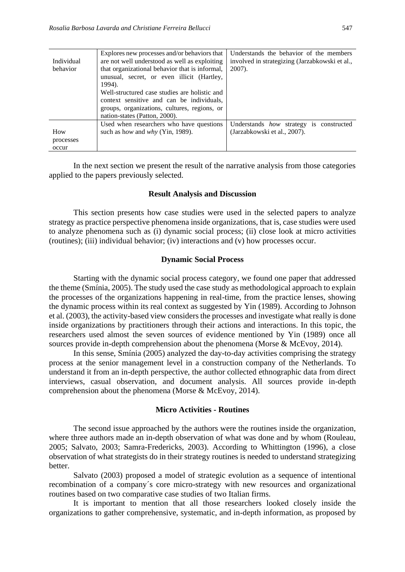| Individual<br>behavior    | Explores new processes and/or behaviors that<br>are not well understood as well as exploiting<br>that organizational behavior that is informal,<br>unusual, secret, or even illicit (Hartley,<br>1994).<br>Well-structured case studies are holistic and<br>context sensitive and can be individuals,<br>groups, organizations, cultures, regions, or<br>nation-states (Patton, 2000). | Understands the behavior of the members<br>involved in strategizing (Jarzabkowski et al.,<br>$2007$ ). |
|---------------------------|----------------------------------------------------------------------------------------------------------------------------------------------------------------------------------------------------------------------------------------------------------------------------------------------------------------------------------------------------------------------------------------|--------------------------------------------------------------------------------------------------------|
| How<br>processes<br>occur | Used when researchers who have questions<br>such as how and why (Yin, 1989).                                                                                                                                                                                                                                                                                                           | Understands how strategy is constructed<br>(Jarzabkowski et al., 2007).                                |

In the next section we present the result of the narrative analysis from those categories applied to the papers previously selected.

#### **Result Analysis and Discussion**

This section presents how case studies were used in the selected papers to analyze strategy as practice perspective phenomena inside organizations, that is, case studies were used to analyze phenomena such as (i) dynamic social process; (ii) close look at micro activities (routines); (iii) individual behavior; (iv) interactions and (v) how processes occur.

#### **Dynamic Social Process**

Starting with the dynamic social process category, we found one paper that addressed the theme (Smínia, 2005). The study used the case study as methodological approach to explain the processes of the organizations happening in real-time, from the practice lenses, showing the dynamic process within its real context as suggested by Yin (1989). According to Johnson et al. (2003), the activity-based view considers the processes and investigate what really is done inside organizations by practitioners through their actions and interactions. In this topic, the researchers used almost the seven sources of evidence mentioned by Yin (1989) once all sources provide in-depth comprehension about the phenomena (Morse & McEvoy, 2014).

In this sense, Smínia (2005) analyzed the day-to-day activities comprising the strategy process at the senior management level in a construction company of the Netherlands. To understand it from an in-depth perspective, the author collected ethnographic data from direct interviews, casual observation, and document analysis. All sources provide in-depth comprehension about the phenomena (Morse & McEvoy, 2014).

#### **Micro Activities - Routines**

The second issue approached by the authors were the routines inside the organization, where three authors made an in-depth observation of what was done and by whom (Rouleau, 2005; Salvato, 2003; Samra-Fredericks, 2003). According to Whittington (1996), a close observation of what strategists do in their strategy routines is needed to understand strategizing better.

Salvato (2003) proposed a model of strategic evolution as a sequence of intentional recombination of a company´s core micro-strategy with new resources and organizational routines based on two comparative case studies of two Italian firms.

It is important to mention that all those researchers looked closely inside the organizations to gather comprehensive, systematic, and in-depth information, as proposed by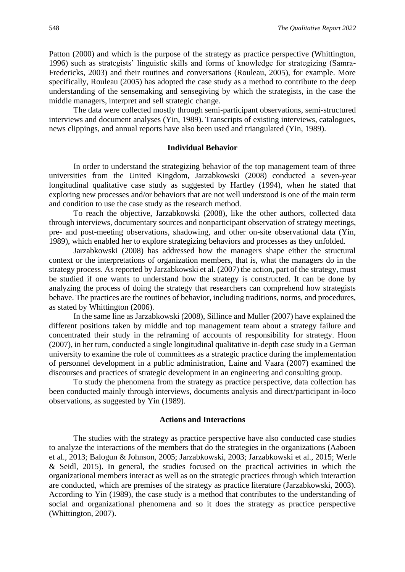Patton (2000) and which is the purpose of the strategy as practice perspective (Whittington, 1996) such as strategists' linguistic skills and forms of knowledge for strategizing (Samra-Fredericks, 2003) and their routines and conversations (Rouleau, 2005), for example. More specifically, Rouleau (2005) has adopted the case study as a method to contribute to the deep understanding of the sensemaking and sensegiving by which the strategists, in the case the middle managers, interpret and sell strategic change.

The data were collected mostly through semi-participant observations, semi-structured interviews and document analyses (Yin, 1989). Transcripts of existing interviews, catalogues, news clippings, and annual reports have also been used and triangulated (Yin, 1989).

## **Individual Behavior**

In order to understand the strategizing behavior of the top management team of three universities from the United Kingdom, Jarzabkowski (2008) conducted a seven-year longitudinal qualitative case study as suggested by Hartley (1994), when he stated that exploring new processes and/or behaviors that are not well understood is one of the main term and condition to use the case study as the research method.

To reach the objective, Jarzabkowski (2008), like the other authors, collected data through interviews, documentary sources and nonparticipant observation of strategy meetings, pre- and post-meeting observations, shadowing, and other on-site observational data (Yin, 1989), which enabled her to explore strategizing behaviors and processes as they unfolded.

Jarzabkowski (2008) has addressed how the managers shape either the structural context or the interpretations of organization members, that is, what the managers do in the strategy process. As reported by Jarzabkowski et al. (2007) the action, part of the strategy, must be studied if one wants to understand how the strategy is constructed. It can be done by analyzing the process of doing the strategy that researchers can comprehend how strategists behave. The practices are the routines of behavior, including traditions, norms, and procedures, as stated by Whittington (2006).

In the same line as Jarzabkowski (2008), Sillince and Muller (2007) have explained the different positions taken by middle and top management team about a strategy failure and concentrated their study in the reframing of accounts of responsibility for strategy. Hoon (2007), in her turn, conducted a single longitudinal qualitative in-depth case study in a German university to examine the role of committees as a strategic practice during the implementation of personnel development in a public administration, Laine and Vaara (2007) examined the discourses and practices of strategic development in an engineering and consulting group.

To study the phenomena from the strategy as practice perspective, data collection has been conducted mainly through interviews, documents analysis and direct/participant in-loco observations, as suggested by Yin (1989).

#### **Actions and Interactions**

The studies with the strategy as practice perspective have also conducted case studies to analyze the interactions of the members that do the strategies in the organizations (Aaboen et al., 2013; Balogun & Johnson, 2005; Jarzabkowski, 2003; Jarzabkowski et al., 2015; Werle & Seidl, 2015). In general, the studies focused on the practical activities in which the organizational members interact as well as on the strategic practices through which interaction are conducted, which are premises of the strategy as practice literature (Jarzabkowski, 2003). According to Yin (1989), the case study is a method that contributes to the understanding of social and organizational phenomena and so it does the strategy as practice perspective (Whittington, 2007).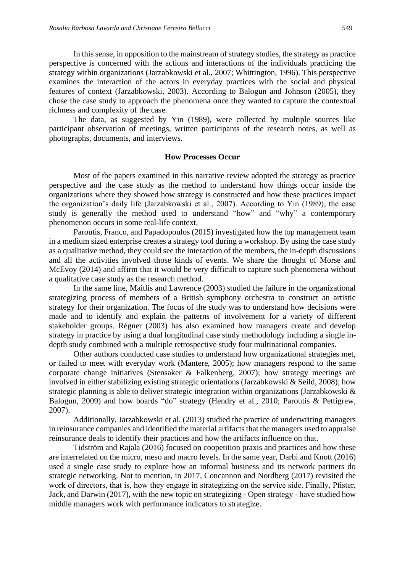In this sense, in opposition to the mainstream of strategy studies, the strategy as practice perspective is concerned with the actions and interactions of the individuals practicing the strategy within organizations (Jarzabkowski et al., 2007; Whittington, 1996). This perspective examines the interaction of the actors in everyday practices with the social and physical features of context (Jarzabkowski, 2003). According to Balogun and Johnson (2005), they chose the case study to approach the phenomena once they wanted to capture the contextual richness and complexity of the case.

The data, as suggested by Yin (1989), were collected by multiple sources like participant observation of meetings, written participants of the research notes, as well as photographs, documents, and interviews.

#### **How Processes Occur**

Most of the papers examined in this narrative review adopted the strategy as practice perspective and the case study as the method to understand how things occur inside the organizations where they showed how strategy is constructed and how these practices impact the organization's daily life (Jarzabkowski et al., 2007). According to Yin (1989), the case study is generally the method used to understand "how" and "why" a contemporary phenomenon occurs in some real-life context.

Paroutis, Franco, and Papadopoulos (2015) investigated how the top management team in a medium sized enterprise creates a strategy tool during a workshop. By using the case study as a qualitative method, they could see the interaction of the members, the in-depth discussions and all the activities involved those kinds of events. We share the thought of Morse and McEvoy (2014) and affirm that it would be very difficult to capture such phenomena without a qualitative case study as the research method.

In the same line, Maitlis and Lawrence (2003) studied the failure in the organizational strategizing process of members of a British symphony orchestra to construct an artistic strategy for their organization. The focus of the study was to understand how decisions were made and to identify and explain the patterns of involvement for a variety of different stakeholder groups. Régner (2003) has also examined how managers create and develop strategy in practice by using a dual longitudinal case study methodology including a single indepth study combined with a multiple retrospective study four multinational companies.

Other authors conducted case studies to understand how organizational strategies met, or failed to meet with everyday work (Mantere, 2005); how managers respond to the same corporate change initiatives (Stensaker & Falkenberg, 2007); how strategy meetings are involved in either stabilizing existing strategic orientations (Jarzabkowski & Seild, 2008); how strategic planning is able to deliver strategic integration within organizations (Jarzabkowski & Balogun, 2009) and how boards "do" strategy (Hendry et al., 2010; Paroutis & Pettigrew, 2007).

Additionally, Jarzabkowski et al. (2013) studied the practice of underwriting managers in reinsurance companies and identified the material artifacts that the managers used to appraise reinsurance deals to identify their practices and how the artifacts influence on that.

Tidström and Rajala (2016) focused on coopetition praxis and practices and how these are interrelated on the micro, meso and macro levels. In the same year, Darbi and Knott (2016) used a single case study to explore how an informal business and its network partners do strategic networking. Not to mention, in 2017, Concannon and Nordberg (2017) revisited the work of directors, that is, how they engage in strategizing on the service side. Finally, Pfister, Jack, and Darwin (2017), with the new topic on strategizing - Open strategy - have studied how middle managers work with performance indicators to strategize.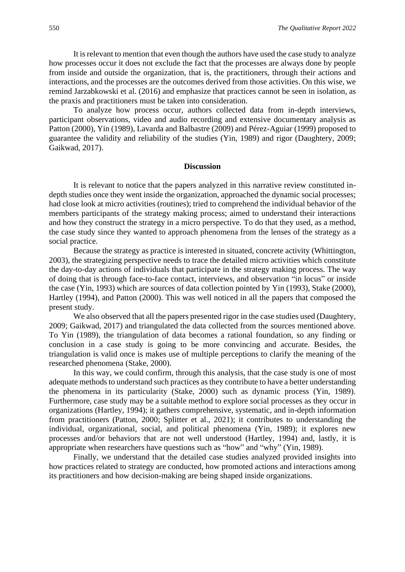It is relevant to mention that even though the authors have used the case study to analyze how processes occur it does not exclude the fact that the processes are always done by people from inside and outside the organization, that is, the practitioners, through their actions and interactions, and the processes are the outcomes derived from those activities. On this wise, we remind Jarzabkowski et al. (2016) and emphasize that practices cannot be seen in isolation, as the praxis and practitioners must be taken into consideration.

To analyze how process occur, authors collected data from in-depth interviews, participant observations, video and audio recording and extensive documentary analysis as Patton (2000), Yin (1989), Lavarda and Balbastre (2009) and Pérez-Aguiar (1999) proposed to guarantee the validity and reliability of the studies (Yin, 1989) and rigor (Daughtery, 2009; Gaikwad, 2017).

#### **Discussion**

It is relevant to notice that the papers analyzed in this narrative review constituted indepth studies once they went inside the organization, approached the dynamic social processes; had close look at micro activities (routines); tried to comprehend the individual behavior of the members participants of the strategy making process; aimed to understand their interactions and how they construct the strategy in a micro perspective. To do that they used, as a method, the case study since they wanted to approach phenomena from the lenses of the strategy as a social practice.

Because the strategy as practice is interested in situated, concrete activity (Whittington, 2003), the strategizing perspective needs to trace the detailed micro activities which constitute the day-to-day actions of individuals that participate in the strategy making process. The way of doing that is through face-to-face contact, interviews, and observation "in locus" or inside the case (Yin, 1993) which are sources of data collection pointed by Yin (1993), Stake (2000), Hartley (1994), and Patton (2000). This was well noticed in all the papers that composed the present study.

We also observed that all the papers presented rigor in the case studies used (Daughtery, 2009; Gaikwad, 2017) and triangulated the data collected from the sources mentioned above. To Yin (1989), the triangulation of data becomes a rational foundation, so any finding or conclusion in a case study is going to be more convincing and accurate. Besides, the triangulation is valid once is makes use of multiple perceptions to clarify the meaning of the researched phenomena (Stake, 2000).

In this way, we could confirm, through this analysis, that the case study is one of most adequate methods to understand such practices as they contribute to have a better understanding the phenomena in its particularity (Stake, 2000) such as dynamic process (Yin, 1989). Furthermore, case study may be a suitable method to explore social processes as they occur in organizations (Hartley, 1994); it gathers comprehensive, systematic, and in-depth information from practitioners (Patton, 2000; Splitter et al., 2021); it contributes to understanding the individual, organizational, social, and political phenomena (Yin, 1989); it explores new processes and/or behaviors that are not well understood (Hartley, 1994) and, lastly, it is appropriate when researchers have questions such as "how" and "why" (Yin, 1989).

Finally, we understand that the detailed case studies analyzed provided insights into how practices related to strategy are conducted, how promoted actions and interactions among its practitioners and how decision-making are being shaped inside organizations.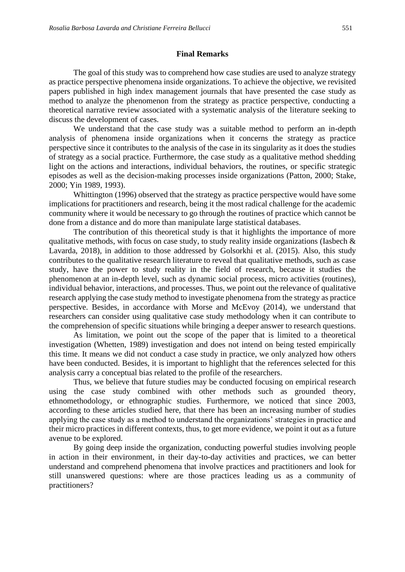#### **Final Remarks**

The goal of this study was to comprehend how case studies are used to analyze strategy as practice perspective phenomena inside organizations. To achieve the objective, we revisited papers published in high index management journals that have presented the case study as method to analyze the phenomenon from the strategy as practice perspective, conducting a theoretical narrative review associated with a systematic analysis of the literature seeking to discuss the development of cases.

We understand that the case study was a suitable method to perform an in-depth analysis of phenomena inside organizations when it concerns the strategy as practice perspective since it contributes to the analysis of the case in its singularity as it does the studies of strategy as a social practice. Furthermore, the case study as a qualitative method shedding light on the actions and interactions, individual behaviors, the routines, or specific strategic episodes as well as the decision-making processes inside organizations (Patton, 2000; Stake, 2000; Yin 1989, 1993).

Whittington (1996) observed that the strategy as practice perspective would have some implications for practitioners and research, being it the most radical challenge for the academic community where it would be necessary to go through the routines of practice which cannot be done from a distance and do more than manipulate large statistical databases.

The contribution of this theoretical study is that it highlights the importance of more qualitative methods, with focus on case study, to study reality inside organizations (Iasbech  $\&$ Lavarda, 2018), in addition to those addressed by Golsorkhi et al. (2015). Also, this study contributes to the qualitative research literature to reveal that qualitative methods, such as case study, have the power to study reality in the field of research, because it studies the phenomenon at an in-depth level, such as dynamic social process, micro activities (routines), individual behavior, interactions, and processes. Thus, we point out the relevance of qualitative research applying the case study method to investigate phenomena from the strategy as practice perspective. Besides, in accordance with Morse and McEvoy (2014), we understand that researchers can consider using qualitative case study methodology when it can contribute to the comprehension of specific situations while bringing a deeper answer to research questions.

As limitation, we point out the scope of the paper that is limited to a theoretical investigation (Whetten, 1989) investigation and does not intend on being tested empirically this time. It means we did not conduct a case study in practice, we only analyzed how others have been conducted. Besides, it is important to highlight that the references selected for this analysis carry a conceptual bias related to the profile of the researchers.

Thus, we believe that future studies may be conducted focusing on empirical research using the case study combined with other methods such as grounded theory, ethnomethodology, or ethnographic studies. Furthermore, we noticed that since 2003, according to these articles studied here, that there has been an increasing number of studies applying the case study as a method to understand the organizations' strategies in practice and their micro practices in different contexts, thus, to get more evidence, we point it out as a future avenue to be explored.

By going deep inside the organization, conducting powerful studies involving people in action in their environment, in their day-to-day activities and practices, we can better understand and comprehend phenomena that involve practices and practitioners and look for still unanswered questions: where are those practices leading us as a community of practitioners?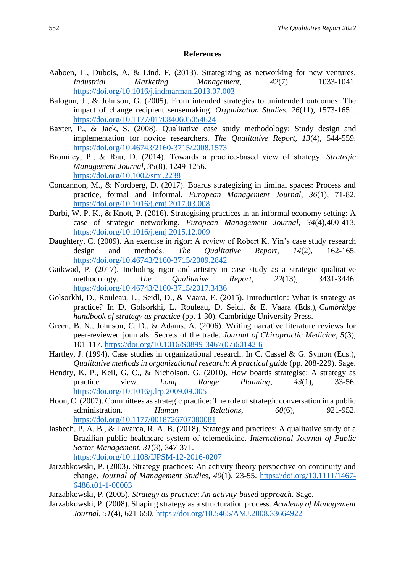#### **References**

- Aaboen, L., Dubois, A. & Lind, F. (2013). Strategizing as networking for new ventures. *Industrial Marketing Management, 42*(7)*,* 1033-1041. <https://doi.org/10.1016/j.indmarman.2013.07.003>
- Balogun, J., & Johnson, G. (2005). From intended strategies to unintended outcomes: The impact of change recipient sensemaking. *Organization Studies. 26*(11), 1573-1651. <https://doi.org/10.1177/0170840605054624>
- Baxter, P., & Jack, S. (2008). Qualitative case study methodology: Study design and implementation for novice researchers. *The Qualitative Report, 13*(4), 544-559. <https://doi.org/10.46743/2160-3715/2008.1573>
- Bromiley, P., & Rau, D. (2014). Towards a practice‐based view of strategy. *Strategic Management Journal, 35*(8), 1249-1256. <https://doi.org/10.1002/smj.2238>
- Concannon, M., & Nordberg, D. (2017). Boards strategizing in liminal spaces: Process and practice, formal and informal. *European Management Journal, 36*(1), 71-82. <https://doi.org/10.1016/j.emj.2017.03.008>
- Darbi, W. P. K., & Knott, P. (2016). Strategising practices in an informal economy setting: A case of strategic networking. *European Management Journal, 34*(4),400-413. <https://doi.org/10.1016/j.emj.2015.12.009>
- Daughtery, C. (2009). An exercise in rigor: A review of Robert K. Yin's case study research design and methods. *The Qualitative Report, 14*(2), 162-165. <https://doi.org/10.46743/2160-3715/2009.2842>
- Gaikwad, P. (2017). Including rigor and artistry in case study as a strategic qualitative methodology. *The Qualitative Report, 22*(13), 3431-3446. <https://doi.org/10.46743/2160-3715/2017.3436>
- Golsorkhi, D., Rouleau, L., Seidl, D., & Vaara, E. (2015). Introduction: What is strategy as practice? In D. Golsorkhi, L. Rouleau, D. Seidl, & E. Vaara (Eds.), *Cambridge handbook of strategy as practice* (pp. 1-30). Cambridge University Press.
- Green, B. N., Johnson, C. D., & Adams, A. (2006). Writing narrative literature reviews for peer-reviewed journals: Secrets of the trade. *Journal of Chiropractic Medicine, 5*(3), 101-117. [https://doi.org/10.1016/S0899-3467\(07\)60142-6](https://doi.org/10.1016/S0899-3467(07)60142-6)
- Hartley, J. (1994). Case studies in organizational research. In C. Cassel & G. Symon (Eds.), *Qualitative methods in organizational research: A practical guide* (pp. 208-229). Sage.
- Hendry, K. P., Keil, G. C., & Nicholson, G. (2010). How boards strategise: A strategy as practice view*. Long Range Planning*, *43*(1), 33-56. <https://doi.org/10.1016/j.lrp.2009.09.005>
- Hoon, C. (2007). Committees as strategic practice: The role of strategic conversation in a public administration. *Human Relations, 60*(6), 921-952. <https://doi.org/10.1177/0018726707080081>
- Iasbech, P. A. B., & Lavarda, R. A. B. (2018). Strategy and practices: A qualitative study of a Brazilian public healthcare system of telemedicine. *International Journal of Public Sector Management, 31*(3), 347-371. <https://doi.org/10.1108/IJPSM-12-2016-0207>
- Jarzabkowski, P. (2003). Strategy practices: An activity theory perspective on continuity and change. *Journal of Management Studies*, *40*(1), 23-55. [https://doi.org/10.1111/1467-](https://doi.org/10.1111/1467-6486.t01-1-00003) [6486.t01-1-00003](https://doi.org/10.1111/1467-6486.t01-1-00003)
- Jarzabkowski, P. (2005). *Strategy as practice*: *An activity-based approach*. Sage.
- Jarzabkowski, P. (2008). Shaping strategy as a structuration process. *Academy of Management Journal*, *51*(4), 621-650.<https://doi.org/10.5465/AMJ.2008.33664922>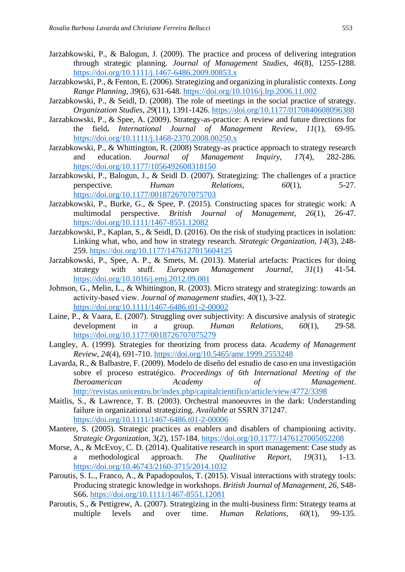- Jarzabkowski, P., & Balogun, J. (2009). The practice and process of delivering integration through strategic planning. *Journal of Management Studies, 46*(8), 1255-1288. <https://doi.org/10.1111/j.1467-6486.2009.00853.x>
- Jarzabkowski, P., & Fenton, E. (2006). Strategizing and organizing in pluralistic contexts. *Long Range Planning*, *39*(6), 631-648.<https://doi.org/10.1016/j.lrp.2006.11.002>
- Jarzabkowski, P., & Seidl, D. (2008). The role of meetings in the social practice of strategy. *Organization Studies, 29*(11), 1391-1426.<https://doi.org/10.1177/0170840608096388>
- Jarzabkowski, P., & Spee, A. (2009). Strategy-as-practice: A review and future directions for the field**.** *International Journal of Management Review*, *11*(1), 69-95. <https://doi.org/10.1111/j.1468-2370.2008.00250.x>
- Jarzabkowski, P., & Whittington, R. (2008) Strategy-as practice approach to strategy research and education. *Journal of Management Inquiry, 17*(4), 282-286. <https://doi.org/10.1177/1056492608318150>
- Jarzabkowski, P., Balogun, J., & Seidl D. (2007). Strategizing: The challenges of a practice perspective. *Human Relations, 60*(1), 5-27. <https://doi.org/10.1177/0018726707075703>
- Jarzabkowski, P., Burke, G., & Spee, P. (2015). Constructing spaces for strategic work: A multimodal perspective. *British Journal of Management*, *26*(1), 26-47. <https://doi.org/10.1111/1467-8551.12082>
- Jarzabkowski, P., Kaplan, S., & Seidl, D. (2016). On the risk of studying practices in isolation: Linking what, who, and how in strategy research. *Strategic Organization, 14*(3), 248- 259.<https://doi.org/10.1177/1476127015604125>
- Jarzabkowski, P., Spee, A. P., & Smets, M. (2013). Material artefacts: Practices for doing strategy with stuff. *European Management Journal*, *31*(1) 41-54. <https://doi.org/10.1016/j.emj.2012.09.001>
- Johnson, G., Melin, L., & Whittington, R. (2003). Micro strategy and strategizing: towards an activity‐based view. *Journal of management studies, 40*(1), 3-22. <https://doi.org/10.1111/1467-6486.t01-2-00002>
- Laine, P., & Vaara, E. (2007). Struggling over subjectivity: A discursive analysis of strategic development in a group. *Human Relations, 60*(1), 29-58. <https://doi.org/10.1177/0018726707075279>
- Langley, A. (1999). Strategies for theorizing from process data. *Academy of Management Review, 24*(4), 691-710.<https://doi.org/10.5465/amr.1999.2553248>
- Lavarda, R., & Balbastre, F. (2009). Modelo de diseño del estudio de caso en una investigación sobre el proceso estratégico. *Proceedings of 6th International Meeting of the Iberoamerican Academy of Management*. <http://revistas.unicentro.br/index.php/capitalcientifico/article/view/4772/3398>
- Maitlis, S., & Lawrence, T. B. (2003). Orchestral manoeuvres in the dark: Understanding failure in organizational strategizing. *Available at* SSRN 371247. <https://doi.org/10.1111/1467-6486.t01-2-00006>
- Mantere, S. (2005). Strategic practices as enablers and disablers of championing activity. *Strategic Organization,* 3(*2*), 157-184.<https://doi.org/10.1177/1476127005052208>
- Morse, A., & McEvoy, C. D. (2014). Qualitative research in sport management: Case study as a methodological approach. *The Qualitative Report, 19*(31), 1-13. <https://doi.org/10.46743/2160-3715/2014.1032>
- Paroutis, S. L., Franco, A., & Papadopoulos, T. (2015). Visual interactions with strategy tools: Producing strategic knowledge in workshops. *British Journal of Management, 26*, S48- S66.<https://doi.org/10.1111/1467-8551.12081>
- Paroutis, S., & Pettigrew, A. (2007). Strategizing in the multi-business firm: Strategy teams at multiple levels and over time. *Human Relations*, *60*(1), 99-135.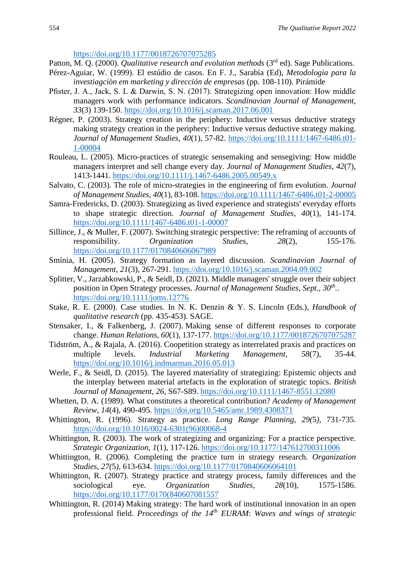<https://doi.org/10.1177/0018726707075285>

- Patton, M. Q. (2000). *Qualitative research and evolution methods* (3<sup>rd</sup> ed). Sage Publications.
- Pérez-Aguiar, W. (1999). El estúdio de casos. En F. J., Sarabia (Ed), *Metodologia para la investiagciòn em marketing y dirección de empresas* (pp. 108-110). Pirámide
- Pfister, J. A., Jack, S. L & Darwin, S. N. (2017). Strategizing open innovation: How middle managers work with performance indicators. *Scandinavian Journal of Management, 33*(3) 139-150.<https://doi.org/10.1016/j.scaman.2017.06.001>
- Régner, P. (2003). Strategy creation in the periphery: Inductive versus deductive strategy making strategy creation in the periphery: Inductive versus deductive strategy making. *Journal of Management Studies*, *40*(1), 57-82. [https://doi.org/10.1111/1467-6486.t01-](https://doi.org/10.1111/1467-6486.t01-1-00004) [1-00004](https://doi.org/10.1111/1467-6486.t01-1-00004)
- Rouleau, L. (2005). Micro-practices of strategic sensemaking and sensegiving: How middle managers interpret and sell change every day. *Journal of Management Studies*, *42*(7), 1413-1441.<https://doi.org/10.1111/j.1467-6486.2005.00549.x>
- Salvato, C. (2003). The role of micro-strategies in the engineering of firm evolution. *Journal of Management Studies*, *40*(1), 83-108[. https://doi.org/10.1111/1467-6486.t01-2-00005](https://doi.org/10.1111/1467-6486.t01-2-00005)
- Samra-Fredericks, D. (2003). Strategizing as lived experience and strategists' everyday efforts to shape strategic direction. *Journal of Management Studies*, *40*(1), 141-174. <https://doi.org/10.1111/1467-6486.t01-1-00007>
- Sillince, J., & Muller, F. (2007). Switching strategic perspective: The reframing of accounts of responsibility. *Organization Studies*, *28*(2), 155-176. <https://doi.org/10.1177/0170840606067989>
- Smínia, H. (2005). Strategy formation as layered discussion. *Scandinavian Journal of Management*, *21*(3), 267-291.<https://doi.org/10.1016/j.scaman.2004.09.002>
- Splitter, V., Jarzabkowski, P., & Seidl, D. (2021). Middle managers' struggle over their subject position in Open Strategy processes. *Journal of Management Studies, Sept., 30th .*. <https://doi.org/10.1111/joms.12776>
- Stake, R. E. (2000). Case studies. In N. K. Denzin & Y. S. Lincoln (Eds.), *Handbook of qualitative research* (pp. 435-453). SAGE.
- Stensaker, I., & Falkenberg, J. (2007). Making sense of different responses to corporate change. *Human Relations, 60*(1)*,* 137-177.<https://doi.org/10.1177/0018726707075287>
- Tidström, A., & Rajala, A. (2016). Coopetition strategy as interrelated praxis and practices on multiple levels. *Industrial Marketing Management*, *58*(7), 35-44. <https://doi.org/10.1016/j.indmarman.2016.05.013>
- Werle, F., & Seidl, D. (2015). The layered materiality of strategizing: Epistemic objects and the interplay between material artefacts in the exploration of strategic topics. *British Journal of Management*, *26*, S67-S89.<https://doi.org/10.1111/1467-8551.12080>
- Whetten, D. A. (1989). What constitutes a theoretical contribution? *Academy of Management Review, 14*(4), 490-495.<https://doi.org/10.5465/amr.1989.4308371>
- Whittington, R. (1996). Strategy as practice. *Long Range Planning*, *29(*5*),* 731-735. [https://doi.org/10.1016/0024-6301\(96\)00068-4](https://doi.org/10.1016/0024-6301(96)00068-4)
- Whittington, R. (2003). The work of strategizing and organizing: For a practice perspective. *Strategic Organization*, *1*(1), 117-126.<https://doi.org/10.1177/147612700311006>
- Whittington, R. (2006). Completing the practice turn in strategy research. *Organization Studies*, *27(*5*),* 613-634.<https://doi.org/10.1177/0170840606064101>
- Whittington, R. (2007). Strategy practice and strategy process, family differences and the sociological eye. *Organization Studies*, *28*(10), 1575-1586. [https://doi.org/10.1177/0170\(840607081557](https://doi.org/10.1177/0170(840607081557)
- Whittington, R. (2014) Making strategy: The hard work of institutional innovation in an open professional field. *Proceedings of the 14th EURAM*: *Waves and wings of strategic*